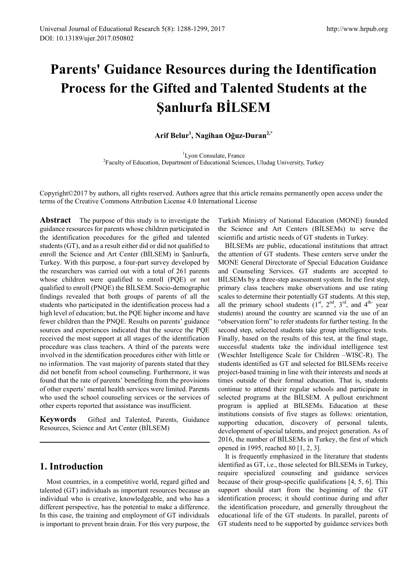# **Parents' Guidance Resources during the Identification Process for the Gifted and Talented Students at the Şanlıurfa BİLSEM**

# **Arif Belur<sup>1</sup> , Nagihan Oğuz-Duran2,\***

<sup>1</sup>Lvon Consulate, France <sup>1</sup>Lyon Consulate, France<br><sup>2</sup> Faculty of Education, Department of Educational Sciences, Uludag University, Turkey

Copyright©2017 by authors, all rights reserved. Authors agree that this article remains permanently open access under the terms of the Creative Commons Attribution License 4.0 International License

**Abstract** The purpose of this study is to investigate the guidance resources for parents whose children participated in the identification procedures for the gifted and talented students (GT), and as a result either did or did not qualified to enroll the Science and Art Center (BİLSEM) in Şanlıurfa, Turkey. With this purpose, a four-part survey developed by the researchers was carried out with a total of 261 parents whose children were qualified to enroll (PQE) or not qualified to enroll (PNQE) the BİLSEM. Socio-demographic findings revealed that both groups of parents of all the students who participated in the identification process had a high level of education; but, the PQE higher income and have fewer children than the PNQE. Results on parents' guidance sources and experiences indicated that the source the PQE received the most support at all stages of the identification procedure was class teachers. A third of the parents were involved in the identification procedures either with little or no information. The vast majority of parents stated that they did not benefit from school counseling. Furthermore, it was found that the rate of parents' benefiting from the provisions of other experts' mental health services were limited. Parents who used the school counseling services or the services of other experts reported that assistance was insufficient.

**Keywords** Gifted and Talented, Parents, Guidance Resources, Science and Art Center (BİLSEM)

# **1. Introduction**

Most countries, in a competitive world, regard gifted and talented (GT) individuals as important resources because an individual who is creative, knowledgeable, and who has a different perspective, has the potential to make a difference. In this case, the training and employment of GT individuals is important to prevent brain drain. For this very purpose, the Turkish Ministry of National Education (MONE) founded the Science and Art Centers (BİLSEMs) to serve the scientific and artistic needs of GT students in Turkey.

BİLSEMs are public, educational institutions that attract the attention of GT students. These centers serve under the MONE General Directorate of Special Education Guidance and Counseling Services. GT students are accepted to BİLSEMs by a three-step assessment system. In the first step, primary class teachers make observations and use rating scales to determine their potentially GT students. At this step, all the primary school students  $(1^{st}, 2^{nd}, 3^{rd},$  and  $4^{th}$  year students) around the country are scanned via the use of an "observation form" to refer students for further testing. In the second step, selected students take group intelligence tests. Finally, based on the results of this test, at the final stage, successful students take the individual intelligence test (Weschler Intelligence Scale for Children –WISC-R). The students identified as GT and selected for BILSEMs receive project-based training in line with their interests and needs at times outside of their formal education. That is, students continue to attend their regular schools and participate in selected programs at the BİLSEM. A pullout enrichment program is applied at BILSEMs. Education at these institutions consists of five stages as follows: orientation, supporting education, discovery of personal talents, development of special talents, and project generation. As of 2016, the number of BİLSEMs in Turkey, the first of which opened in 1995, reached 80 [1, 2, 3].

It is frequently emphasized in the literature that students identified as GT, i.e., those selected for BİLSEMs in Turkey, require specialized counseling and guidance services because of their group-specific qualifications [4, 5, 6]. This support should start from the beginning of the GT identification process; it should continue during and after the identification procedure, and generally throughout the educational life of the GT students. In parallel, parents of GT students need to be supported by guidance services both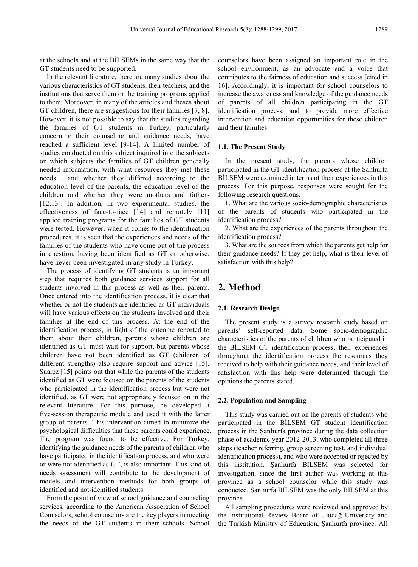at the schools and at the BİLSEMs in the same way that the GT students need to be supported.

In the relevant literature, there are many studies about the various characteristics of GT students, their teachers, and the institutions that serve them or the training programs applied to them. Moreover, in many of the articles and theses about GT children, there are suggestions for their families [7, 8]. However, it is not possible to say that the studies regarding the families of GT students in Turkey, particularly concerning their counseling and guidance needs, have reached a sufficient level [9-14]. A limited number of studies conducted on this subject inquired into the subjects on which subjects the families of GT children generally needed information, with what resources they met these needs , and whether they differed according to the education level of the parents, the education level of the children and whether they were mothers and fathers [12,13]. In addition, in two experimental studies, the effectiveness of face-to-face [14] and remotely [11] applied training programs for the families of GT students were tested. However, when it comes to the identification procedures, it is seen that the experiences and needs of the families of the students who have come out of the process in question, having been identified as GT or otherwise, have never been investigated in any study in Turkey.

The process of identifying GT students is an important step that requires both guidance services support for all students involved in this process as well as their parents. Once entered into the identification process, it is clear that whether or not the students are identified as GT individuals will have various effects on the students involved and their families at the end of this process. At the end of the identification process, in light of the outcome reported to them about their children, parents whose children are identified as GT must wait for support, but parents whose children have not been identified as GT (children of different strengths) also require support and advice [15]. Suarez [15] points out that while the parents of the students identified as GT were focused on the parents of the students who participated in the identification process but were not identified, as GT were not appropriately focused on in the relevant literature. For this purpose, he developed a five-session therapeutic module and used it with the latter group of parents. This intervention aimed to minimize the psychological difficulties that these parents could experience. The program was found to be effective. For Turkey, identifying the guidance needs of the parents of children who have participated in the identification process, and who were or were not identified as GT, is also important. This kind of needs assessment will contribute to the development of models and intervention methods for both groups of identified and not-identified students.

From the point of view of school guidance and counseling services, according to the American Association of School Counselors, school counselors are the key players in meeting the needs of the GT students in their schools. School

counselors have been assigned an important role in the school environment, as an advocate and a voice that contributes to the fairness of education and success [cited in 16]. Accordingly, it is important for school counselors to increase the awareness and knowledge of the guidance needs of parents of all children participating in the GT identification process, and to provide more effective intervention and education opportunities for these children and their families.

#### **1.1. The Present Study**

In the present study, the parents whose children participated in the GT identification process at the Şanlıurfa BİLSEM were examined in terms of their experiences in this process. For this purpose, responses were sought for the following research questions.

1. What are the various socio-demographic characteristics of the parents of students who participated in the identification process?

2. What are the experiences of the parents throughout the identification process?

3. What are the sources from which the parents get help for their guidance needs? If they get help, what is their level of satisfaction with this help?

# **2. Method**

## **2.1. Research Design**

The present study is a survey research study based on parents' self-reported data. Some socio-demographic characteristics of the parents of children who participated in the BİLSEM GT identification process, their experiences throughout the identification process the resources they received to help with their guidance needs, and their level of satisfaction with this help were determined through the opinions the parents stated.

### **2.2. Population and Sampling**

This study was carried out on the parents of students who participated in the BİLSEM GT student identification process in the Şanlıurfa province during the data collection phase of academic year 2012-2013, who completed all three steps (teacher referring, group screening test, and individual identification process), and who were accepted or rejected by this institution. Şanlıurfa BILSEM was selected for investigation, since the first author was working at this province as a school counselor while this study was conducted. Şanlıurfa BILSEM was the only BILSEM at this province.

All sampling procedures were reviewed and approved by the Institutional Review Board of Uludağ University and the Turkish Ministry of Education, Şanlıurfa province. All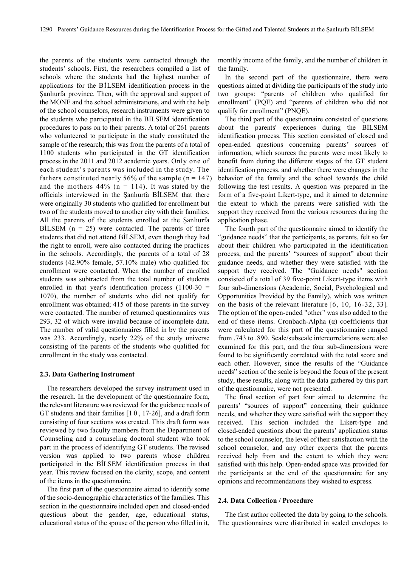the parents of the students were contacted through the students' schools. First, the researchers compiled a list of schools where the students had the highest number of applications for the BİLSEM identification process in the Şanlıurfa province. Then, with the approval and support of the MONE and the school administrations, and with the help of the school counselors, research instruments were given to the students who participated in the BILSEM identification procedures to pass on to their parents. A total of 261 parents who volunteered to participate in the study constituted the sample of the research; this was from the parents of a total of 1100 students who participated in the GT identification process in the 2011 and 2012 academic years. Only one of each student's parents was included in the study. The fathers constituted nearly 56% of the sample ( $n = 147$ ) and the mothers  $44\%$  (n = 114). It was stated by the officials interviewed in the Şanlıurfa BİLSEM that there were originally 30 students who qualified for enrollment but two of the students moved to another city with their families. All the parents of the students enrolled at the Şanlıurfa BİLSEM  $(n = 25)$  were contacted. The parents of three students that did not attend BİLSEM, even though they had the right to enroll, were also contacted during the practices in the schools. Accordingly, the parents of a total of 28 students (42.90% female, 57.10% male) who qualified for enrollment were contacted. When the number of enrolled students was subtracted from the total number of students enrolled in that year's identification process (1100-30 = 1070), the number of students who did not qualify for enrollment was obtained; 415 of those parents in the survey were contacted. The number of returned questionnaires was 293, 32 of which were invalid because of incomplete data. The number of valid questionnaires filled in by the parents was 233. Accordingly, nearly 22% of the study universe consisting of the parents of the students who qualified for enrollment in the study was contacted.

#### **2.3. Data Gathering Instrument**

The researchers developed the survey instrument used in the research. In the development of the questionnaire form, the relevant literature was reviewed for the guidance needs of GT students and their families [1 0 , 17-26], and a draft form consisting of four sections was created. This draft form was reviewed by two faculty members from the Department of Counseling and a counseling doctoral student who took part in the process of identifying GT students. The revised version was applied to two parents whose children participated in the BİLSEM identification process in that year. This review focused on the clarity, scope, and content of the items in the questionnaire.

The first part of the questionnaire aimed to identify some of the socio-demographic characteristics of the families. This section in the questionnaire included open and closed-ended questions about the gender, age, educational status, educational status of the spouse of the person who filled in it,

monthly income of the family, and the number of children in the family.

In the second part of the questionnaire, there were questions aimed at dividing the participants of the study into two groups: "parents of children who qualified for enrollment" (PQE) and "parents of children who did not qualify for enrollment" (PNQE).

The third part of the questionnaire consisted of questions about the parents' experiences during the BİLSEM identification process. This section consisted of closed and open-ended questions concerning parents' sources of information, which sources the parents were most likely to benefit from during the different stages of the GT student identification process, and whether there were changes in the behavior of the family and the school towards the child following the test results. A question was prepared in the form of a five-point Likert-type, and it aimed to determine the extent to which the parents were satisfied with the support they received from the various resources during the application phase.

The fourth part of the questionnaire aimed to identify the "guidance needs" that the participants, as parents, felt so far about their children who participated in the identification process, and the parents' "sources of support" about their guidance needs, and whether they were satisfied with the support they received. The "Guidance needs" section consisted of a total of 39 five-point Likert-type items with four sub-dimensions (Academic, Social, Psychological and Opportunities Provided by the Family), which was written on the basis of the relevant literature [6, 10, 16-32, 33]. The option of the open-ended "other" was also added to the end of these items. Cronbach-Alpha  $(\alpha)$  coefficients that were calculated for this part of the questionnaire ranged from .743 to .890. Scale/subscale intercorrelations were also examined for this part, and the four sub-dimensions were found to be significantly correlated with the total score and each other. However, since the results of the "Guidance needs" section of the scale is beyond the focus of the present study, these results, along with the data gathered by this part of the questionnaire, were not presented.

The final section of part four aimed to determine the parents' "sources of support" concerning their guidance needs, and whether they were satisfied with the support they received. This section included the Likert-type and closed-ended questions about the parents' application status to the school counselor, the level of their satisfaction with the school counselor, and any other experts that the parents received help from and the extent to which they were satisfied with this help. Open-ended space was provided for the participants at the end of the questionnaire for any opinions and recommendations they wished to express.

#### **2.4. Data Collection / Procedure**

The first author collected the data by going to the schools. The questionnaires were distributed in sealed envelopes to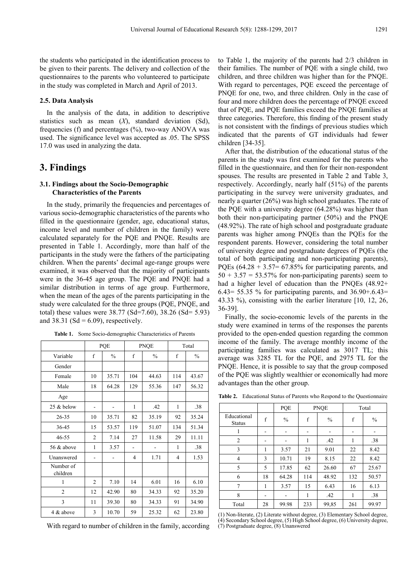the students who participated in the identification process to be given to their parents. The delivery and collection of the questionnaires to the parents who volunteered to participate in the study was completed in March and April of 2013.

## **2.5. Data Analysis**

In the analysis of the data, in addition to descriptive statistics such as mean (*X*), standard deviation (Sd), frequencies (f) and percentages (%), two-way ANOVA was used. The significance level was accepted as .05. The SPSS 17.0 was used in analyzing the data.

# **3. Findings**

## **3.1. Findings about the Socio-Demographic Characteristics of the Parents**

In the study, primarily the frequencies and percentages of various socio-demographic characteristics of the parents who filled in the questionnaire (gender, age, educational status, income level and number of children in the family) were calculated separately for the PQE and PNQE. Results are presented in Table 1. Accordingly, more than half of the participants in the study were the fathers of the participating children. When the parents' decimal age-range groups were examined, it was observed that the majority of participants were in the 36-45 age group. The PQE and PNQE had a similar distribution in terms of age group. Furthermore, when the mean of the ages of the parents participating in the study were calculated for the three groups (PQE, PNQE, and total) these values were 38.77 (Sd=7.60), 38.26 (Sd= 5.93) and 38.31 (Sd =  $6.09$ ), respectively.

|  |  |  | <b>Table 1.</b> Some Socio-demographic Characteristics of Parents |  |
|--|--|--|-------------------------------------------------------------------|--|
|--|--|--|-------------------------------------------------------------------|--|

|                       | PQE            |               |     | <b>PNQE</b>   | Total |               |
|-----------------------|----------------|---------------|-----|---------------|-------|---------------|
| Variable              | f              | $\frac{0}{0}$ | f   | $\frac{0}{0}$ | f     | $\frac{0}{0}$ |
| Gender                |                |               |     |               |       |               |
| Female                | 10             | 35.71         | 104 | 44.63         | 114   | 43.67         |
| Male                  | 18             | 64.28         | 129 | 55.36         | 147   | 56.32         |
| Age                   |                |               |     |               |       |               |
| $25 \&$ below         | -              |               | 1   | .42           | 1     | .38           |
| 26-35                 | 10             | 35.71         | 82  | 35.19         | 92    | 35.24         |
| 36-45                 | 15             | 53.57         | 119 | 51.07         | 134   | 51.34         |
| 46-55                 | $\overline{2}$ | 7.14          | 27  | 11.58         | 29    | 11.11         |
| 56 & above            | 1              | 3.57          |     |               | 1     | .38           |
| Unanswered            |                |               | 4   | 1.71          | 4     | 1.53          |
| Number of<br>children |                |               |     |               |       |               |
| 1                     | $\overline{2}$ | 7.10          | 14  | 6.01          | 16    | 6.10          |
| $\overline{2}$        | 12             | 42.90         | 80  | 34.33         | 92    | 35.20         |
| 3                     | 11             | 39.30         | 80  | 34.33         | 91    | 34.90         |
| 4 & above             | 3              | 10.70         | 59  | 25.32         | 62    | 23.80         |

With regard to number of children in the family, according

to Table 1, the majority of the parents had 2/3 children in their families. The number of PQE with a single child, two children, and three children was higher than for the PNQE. With regard to percentages, PQE exceed the percentage of PNQE for one, two, and three children. Only in the case of four and more children does the percentage of PNQE exceed that of PQE, and PQE families exceed the PNQE families at three categories. Therefore, this finding of the present study is not consistent with the findings of previous studies which indicated that the parents of GT individuals had fewer children [34-35].

After that, the distribution of the educational status of the parents in the study was first examined for the parents who filled in the questionnaire, and then for their non-respondent spouses. The results are presented in Table 2 and Table 3, respectively. Accordingly, nearly half (51%) of the parents participating in the survey were university graduates, and nearly a quarter (26%) was high school graduates. The rate of the PQE with a university degree (64.28%) was higher than both their non-participating partner (50%) and the PNQE (48.92%). The rate of high school and postgraduate graduate parents was higher among PNQEs than the PQEs for the respondent parents. However, considering the total number of university degree and postgraduate degrees of PQEs (the total of both participating and non-participating parents), PQEs  $(64.28 + 3.57 = 67.85\%$  for participating parents, and  $50 + 3.57 = 53.57\%$  for non-participating parents) seem to had a higher level of education than the PNQEs (48.92+ 6.43= 55.35 % for participating parents, and 36.90+.6.43= 43.33 %), consisting with the earlier literature [10, 12, 26, 36-39].

Finally, the socio-economic levels of the parents in the study were examined in terms of the responses the parents provided to the open-ended question regarding the common income of the family. The average monthly income of the participating families was calculated as 3017 TL; this average was 3285 TL for the PQE, and 2975 TL for the PNQE. Hence, it is possible to say that the group composed of the PQE was slightly wealthier or economically had more advantages than the other group.

|                              |    | PQE           |     | <b>PNQE</b>   | Total |               |
|------------------------------|----|---------------|-----|---------------|-------|---------------|
| Educational<br><b>Status</b> | f  | $\frac{0}{0}$ | f   | $\frac{0}{0}$ | f     | $\frac{0}{0}$ |
|                              |    |               |     |               |       |               |
| $\overline{2}$               |    |               | 1   | .42           |       | .38           |
| 3                            | 1  | 3.57          | 21  | 9.01          | 22    | 8.42          |
| 4                            | 3  | 10.71         | 19  | 8.15          | 22    | 8.42          |
| 5                            | 5  | 17.85         | 62  | 26.60         | 67    | 25.67         |
| 6                            | 18 | 64.28         | 114 | 48.92         | 132   | 50.57         |
| 7                            | 1  | 3.57          | 15  | 6.43          | 16    | 6.13          |
| 8                            | -  |               | 1   | .42           | 1     | .38           |
| Total                        | 28 | 99.98         | 233 | 99,85         | 261   | 99.97         |

**Table 2.** Educational Status of Parents who Respond to the Questionnaire

 $\overline{\mathsf{T}}$ 

(1) Non-literate, (2) Literate without degree, (3) Elementary School degree, (4) Secondary School degree, (5) High School degree, (6) University degree, (7) Postgraduate degree, (8) Unanswered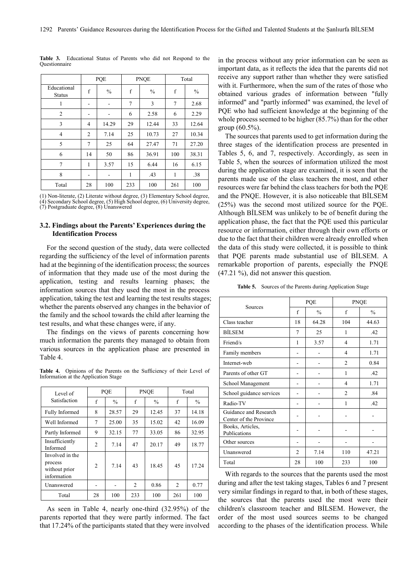|                              | PQE |               |     | <b>PNQE</b>   | Total       |               |
|------------------------------|-----|---------------|-----|---------------|-------------|---------------|
| Educational<br><b>Status</b> | f   | $\frac{0}{0}$ | f   | $\frac{0}{0}$ | $\mathbf f$ | $\frac{0}{0}$ |
| 1                            |     |               | 7   | 3             | 7           | 2.68          |
| $\overline{2}$               |     |               | 6   | 2.58          | 6           | 2.29          |
| 3                            | 4   | 14.29         | 29  | 12.44         | 33          | 12.64         |
| $\overline{4}$               | 2   | 7.14          | 25  | 10.73         | 27          | 10.34         |
| 5                            | 7   | 25            | 64  | 27.47         | 71          | 27.20         |
| 6                            | 14  | 50            | 86  | 36.91         | 100         | 38.31         |
| 7                            | 1   | 3.57          | 15  | 6.44          | 16          | 6.15          |
| 8                            | -   |               | 1   | .43           | 1           | .38           |
| Total                        | 28  | 100           | 233 | 100           | 261         | 100           |

**Table 3.** Educational Status of Parents who did not Respond to the Questionnaire

(1) Non-literate, (2) Literate without degree, (3) Elementary School degree, (4) Secondary School degree, (5) High School degree, (6) University degree, (7) Postgraduate degree, (8) Unanswered

#### **3.2. Findings about the Parents' Experiences during the Identification Process**

For the second question of the study, data were collected regarding the sufficiency of the level of information parents had at the beginning of the identification process; the sources of information that they made use of the most during the application, testing and results learning phases; the information sources that they used the most in the process application, taking the test and learning the test results stages; whether the parents observed any changes in the behavior of the family and the school towards the child after learning the test results, and what these changes were, if any.

The findings on the views of parents concerning how much information the parents they managed to obtain from various sources in the application phase are presented in Table 4.

**Table 4.** Opinions of the Parents on the Sufficiency of their Level of Information at the Application Stage

| Level of                                                   | POE            |               |                | <b>PNOE</b>   | Total          |               |  |
|------------------------------------------------------------|----------------|---------------|----------------|---------------|----------------|---------------|--|
| Satisfaction                                               | f              | $\frac{0}{0}$ | f              | $\frac{0}{0}$ | f              | $\frac{0}{0}$ |  |
| Fully Informed                                             | 8              | 28.57         | 29             | 12.45         | 37             | 14.18         |  |
| Well Informed                                              | 7              | 25.00         | 35             | 15.02         | 42             | 16.09         |  |
| Partly Informed                                            | 9              | 32.15         | 77             | 33.05         | 86             | 32.95         |  |
| Insufficiently<br>Informed                                 | $\overline{2}$ | 7.14          | 47             | 20.17         | 49             | 18.77         |  |
| Involved in the<br>process<br>without prior<br>information | 2              | 7.14          | 43             | 18.45         | 45             | 17.24         |  |
| Unanswered                                                 |                |               | $\overline{c}$ | 0.86          | $\overline{2}$ | 0.77          |  |
| Total                                                      | 28             | 100           | 233            | 100           | 261            | 100           |  |

As seen in Table 4, nearly one-third (32.95%) of the parents reported that they were partly informed. The fact that 17.24% of the participants stated that they were involved

in the process without any prior information can be seen as important data, as it reflects the idea that the parents did not receive any support rather than whether they were satisfied with it. Furthermore, when the sum of the rates of those who obtained various grades of information between "fully informed" and "partly informed" was examined, the level of PQE who had sufficient knowledge at the beginning of the whole process seemed to be higher (85.7%) than for the other group (60.5%).

The sources that parents used to get information during the three stages of the identification process are presented in Tables 5, 6, and 7, respectively. Accordingly, as seen in Table 5, when the sources of information utilized the most during the application stage are examined, it is seen that the parents made use of the class teachers the most, and other resources were far behind the class teachers for both the PQE and the PNQE. However, it is also noticeable that BİLSEM (25%) was the second most utilized source for the PQE. Although BİLSEM was unlikely to be of benefit during the application phase, the fact that the PQE used this particular resource or information, either through their own efforts or due to the fact that their children were already enrolled when the data of this study were collected, it is possible to think that PQE parents made substantial use of BİLSEM. A remarkable proportion of parents, especially the PNQE (47.21 %), did not answer this question.

|  |  |  |  |  | <b>Table 5.</b> Sources of the Parents during Application Stage |  |
|--|--|--|--|--|-----------------------------------------------------------------|--|
|--|--|--|--|--|-----------------------------------------------------------------|--|

|                                                 |                | PQE           | <b>PNQE</b>    |       |  |
|-------------------------------------------------|----------------|---------------|----------------|-------|--|
| Sources                                         | $\mathbf f$    | $\frac{0}{0}$ | f              | $\%$  |  |
| Class teacher                                   | 18             | 64.28         | 104            | 44.63 |  |
| <b>BİLSEM</b>                                   | 7              | 25            | 1              | .42   |  |
| Friend/s                                        | 1              | 3.57          | 4              | 1.71  |  |
| Family members                                  |                |               | 4              | 1.71  |  |
| Internet-web                                    |                |               | $\overline{2}$ | 0.84  |  |
| Parents of other GT                             |                |               | 1              | .42   |  |
| School Management                               |                |               | 4              | 1.71  |  |
| School guidance services                        |                |               | $\overline{2}$ | .84   |  |
| Radio-TV                                        |                |               | 1              | .42   |  |
| Guidance and Research<br>Center of the Province |                |               |                |       |  |
| Books, Articles,<br>Publications                |                |               |                |       |  |
| Other sources                                   |                |               |                |       |  |
| Unanswered                                      | $\overline{2}$ | 7.14          | 110            | 47.21 |  |
| Total                                           | 28             | 100           | 233            | 100   |  |

With regards to the sources that the parents used the most during and after the test taking stages, Tables 6 and 7 present very similar findings in regard to that, in both of these stages, the sources that the parents used the most were their children's classroom teacher and BİLSEM. However, the order of the most used sources seems to be changed according to the phases of the identification process. While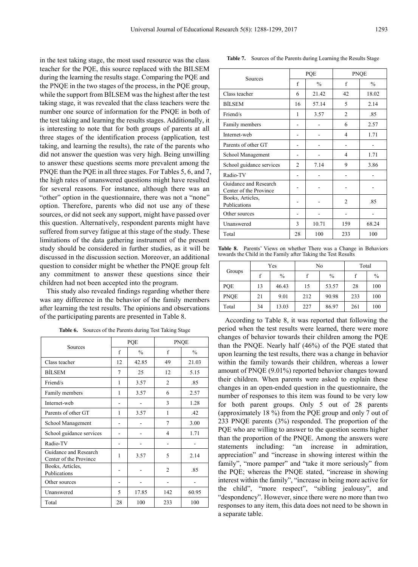in the test taking stage, the most used resource was the class teacher for the PQE, this source replaced with the BILSEM during the learning the results stage. Comparing the PQE and the PNQE in the two stages of the process, in the PQE group, while the support from BİLSEM was the highest after the test taking stage, it was revealed that the class teachers were the number one source of information for the PNQE in both of the test taking and learning the results stages. Additionally, it is interesting to note that for both groups of parents at all three stages of the identification process (application, test taking, and learning the results), the rate of the parents who did not answer the question was very high. Being unwilling to answer these questions seems more prevalent among the PNQE than the PQE in all three stages. For Tables 5, 6, and 7, the high rates of unanswered questions might have resulted for several reasons. For instance, although there was an "other" option in the questionnaire, there was not a "none" option. Therefore, parents who did not use any of these sources, or did not seek any support, might have passed over this question. Alternatively, respondent parents might have suffered from survey fatigue at this stage of the study. These limitations of the data gathering instrument of the present study should be considered in further studies, as it will be discussed in the discussion section. Moreover, an additional question to consider might be whether the PNQE group felt any commitment to answer these questions since their children had not been accepted into the program.

This study also revealed findings regarding whether there was any difference in the behavior of the family members after learning the test results. The opinions and observations of the participating parents are presented in Table 8.

| <b>Table 6.</b> Sources of the Parents during Test Taking Stage |
|-----------------------------------------------------------------|
|-----------------------------------------------------------------|

|                                                 |    | PQE           | <b>PNQE</b>    |               |  |
|-------------------------------------------------|----|---------------|----------------|---------------|--|
| Sources                                         | f  | $\frac{0}{0}$ | f              | $\frac{0}{0}$ |  |
| Class teacher                                   | 12 | 42.85         | 49             | 21.03         |  |
| <b>BILSEM</b>                                   | 7  | 25            | 12             | 5.15          |  |
| Friend/s                                        | 1  | 3.57          | $\overline{2}$ | .85           |  |
| Family members                                  | 1  | 3.57          | 6              | 2.57          |  |
| Internet-web                                    |    |               | 3              | 1.28          |  |
| Parents of other GT                             | 1  | 3.57          | 1              | $-42$         |  |
| School Management                               |    |               | 7              | 3.00          |  |
| School guidance services                        |    |               | $\overline{4}$ | 1.71          |  |
| Radio-TV                                        |    |               |                |               |  |
| Guidance and Research<br>Center of the Province | 1  | 3.57          | 5              | 2.14          |  |
| Books, Articles,<br>Publications                |    |               | $\overline{2}$ | .85           |  |
| Other sources                                   |    |               |                |               |  |
| Unanswered                                      | 5  | 17.85         | 142            | 60.95         |  |
| Total                                           | 28 | 100           | 233            | 100           |  |

| Table 7. Sources of the Parents during Learning the Results Stage |  |
|-------------------------------------------------------------------|--|
|-------------------------------------------------------------------|--|

|                                                 |                | PQE           | <b>PNQE</b>    |               |  |
|-------------------------------------------------|----------------|---------------|----------------|---------------|--|
| Sources                                         | f              | $\frac{0}{0}$ | f              | $\frac{0}{0}$ |  |
| Class teacher                                   | 6              | 21.42         | 42             | 18.02         |  |
| <b>BİLSEM</b>                                   | 16             | 57.14         | 5              | 2.14          |  |
| Friend/s                                        | 1              | 3.57          | $\overline{2}$ | .85           |  |
| Family members                                  |                |               | 6              | 2.57          |  |
| Internet-web                                    |                |               | 4              | 1.71          |  |
| Parents of other GT                             |                |               |                |               |  |
| School Management                               | -              |               | 4              | 1.71          |  |
| School guidance services                        | $\mathfrak{D}$ | 7.14          | 9              | 3.86          |  |
| Radio-TV                                        |                |               |                |               |  |
| Guidance and Research<br>Center of the Province |                |               |                |               |  |
| Books, Articles,<br>Publications                |                |               | $\overline{2}$ | .85           |  |
| Other sources                                   |                |               |                |               |  |
| Unanswered                                      | 3              | 10.71         | 159            | 68.24         |  |
| Total                                           | 28             | 100           | 233            | 100           |  |

**Table 8.** Parents' Views on whether There was a Change in Behaviors towards the Child in the Family after Taking the Test Results

|             | Yes |       |     | No            | Total |               |
|-------------|-----|-------|-----|---------------|-------|---------------|
| Groups      |     | $\%$  |     | $\frac{0}{0}$ |       | $\frac{0}{0}$ |
| PQE         | 13  | 46.43 | 15  | 53.57         | 28    | 100           |
| <b>PNQE</b> | 21  | 9.01  | 212 | 90.98         | 233   | 100           |
| Total       | 34  | 13.03 | 227 | 86.97         | 261   | 100           |

According to Table 8, it was reported that following the period when the test results were learned, there were more changes of behavior towards their children among the PQE than the PNQE. Nearly half (46%) of the PQE stated that upon learning the test results, there was a change in behavior within the family towards their children, whereas a lower amount of PNQE (9.01%) reported behavior changes toward their children. When parents were asked to explain these changes in an open-ended question in the questionnaire, the number of responses to this item was found to be very low for both parent groups. Only 5 out of 28 parents (approximately 18 %) from the PQE group and only 7 out of 233 PNQE parents (3%) responded. The proportion of the PQE who are willing to answer to the question seems higher than the proportion of the PNQE. Among the answers were statements including: "an increase in admiration, appreciation" and "increase in showing interest within the family", "more pamper" and "take it more seriously" from the PQE; whereas the PNQE stated, "increase in showing interest within the family", "increase in being more active for the child", "more respect", "sibling jealousy", and "despondency". However, since there were no more than two responses to any item, this data does not need to be shown in a separate table.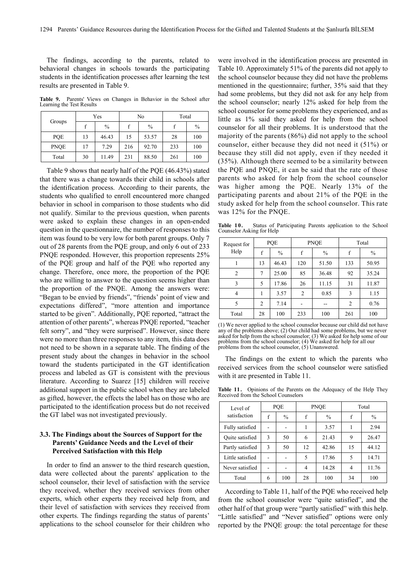The findings, according to the parents, related to behavioral changes in schools towards the participating students in the identification processes after learning the test results are presented in Table 9.

**Table 9.** Parents' Views on Changes in Behavior in the School after Learning the Test Results

|             | Yes |               |     | No            | Total |               |
|-------------|-----|---------------|-----|---------------|-------|---------------|
| Groups      |     | $\frac{0}{0}$ |     | $\frac{0}{0}$ |       | $\frac{0}{0}$ |
| PQE         | 13  | 46.43         | 15  | 53.57         | 28    | 100           |
| <b>PNOE</b> | 17  | 7.29          | 216 | 92.70         | 233   | 100           |
| Total       | 30  | 11.49         | 231 | 88.50         | 261   | 100           |

Table 9 shows that nearly half of the PQE (46.43%) stated that there was a change towards their child in schools after the identification process. According to their parents, the students who qualified to enroll encountered more changed behavior in school in comparison to those students who did not qualify. Similar to the previous question, when parents were asked to explain these changes in an open-ended question in the questionnaire, the number of responses to this item was found to be very low for both parent groups. Only 7 out of 28 parents from the PQE group, and only 6 out of 233 PNQE responded. However, this proportion represents 25% of the PQE group and half of the PQE who reported any change. Therefore, once more, the proportion of the PQE who are willing to answer to the question seems higher than the proportion of the PNQE. Among the answers were: "Began to be envied by friends", "friends' point of view and expectations differed", "more attention and importance started to be given". Additionally, PQE reported, "attract the attention of other parents", whereas PNQE reported, "teacher felt sorry", and "they were surprised". However, since there were no more than three responses to any item, this data does not need to be shown in a separate table. The finding of the present study about the changes in behavior in the school toward the students participated in the GT identification process and labeled as GT is consistent with the previous literature. According to Suarez [15] children will receive additional support in the public school when they are labeled as gifted, however, the effects the label has on those who are participated to the identification process but do not received the GT label was not investigated previously.

## **3.3. The Findings about the Sources of Support for the Parents' Guidance Needs and the Level of their Perceived Satisfaction with this Help**

In order to find an answer to the third research question, data were collected about the parents' application to the school counselor, their level of satisfaction with the service they received, whether they received services from other experts, which other experts they received help from, and their level of satisfaction with services they received from other experts. The findings regarding the status of parents' applications to the school counselor for their children who were involved in the identification process are presented in Table 10. Approximately 51% of the parents did not apply to the school counselor because they did not have the problems mentioned in the questionnaire; further, 35% said that they had some problems, but they did not ask for any help from the school counselor; nearly 12% asked for help from the school counselor for some problems they experienced, and as little as 1% said they asked for help from the school counselor for all their problems. It is understood that the majority of the parents (86%) did not apply to the school counselor, either because they did not need it (51%) or because they still did not apply, even if they needed it (35%). Although there seemed to be a similarity between the PQE and PNQE, it can be said that the rate of those parents who asked for help from the school counselor was higher among the PQE. Nearly 13% of the participating parents and about 21% of the PQE in the study asked for help from the school counselor. This rate was 12% for the PNQE.

**Table 10.** Status of Participating Parents application to the School Counselor Asking for Help

| Request for<br>Help | PQE            |               |     | <b>PNQE</b>   | Total          |               |  |
|---------------------|----------------|---------------|-----|---------------|----------------|---------------|--|
|                     | f              | $\frac{0}{0}$ | f   | $\frac{0}{0}$ | f              | $\frac{0}{0}$ |  |
|                     | 13             | 46.43         | 120 | 51.50         | 133            | 50.95         |  |
| 2                   | 7              | 25.00         | 85  | 36.48         | 92             | 35.24         |  |
| 3                   | 5              | 17.86         | 26  | 11.15         | 31             | 11.87         |  |
| 4                   |                | 3.57          | 2   | 0.85          | 3              | 1.15          |  |
| 5                   | $\overline{c}$ | 7.14          |     |               | $\overline{c}$ | 0.76          |  |
| Total               | 28             | 100           | 233 | 100           | 261            | 100           |  |

(1) We never applied to the school counselor because our child did not have any of the problems above; (2) Our child had some problems, but we never asked for help from the school counselor; (3) We asked for help some of our problems from the school counselor; (4) We asked for help for all our problems from the school counselor,  $(5)$  Unanswered.

The findings on the extent to which the parents who received services from the school counselor were satisfied with it are presented in Table 11.

**Table 11.** Opinions of the Parents on the Adequacy of the Help They Received from the School Counselors

| Level of               | POE |               |    | <b>PNOE</b>   | Total |               |
|------------------------|-----|---------------|----|---------------|-------|---------------|
| satisfaction           | f   | $\frac{0}{0}$ | f  | $\frac{0}{0}$ | f     | $\frac{0}{0}$ |
| Fully satisfied        |     |               |    | 3.57          |       | 2.94          |
| <b>Ouite</b> satisfied | 3   | 50            | 6  | 21.43         | 9     | 26.47         |
| Partly satisfied       | 3   | 50            | 12 | 42.86         | 15    | 44.12         |
| Little satisfied       |     |               | 5  | 17.86         | 5     | 14.71         |
| Never satisfied        |     |               | 4  | 14.28         | 4     | 11.76         |
| Total                  | 6   | 100           | 28 | 100           | 34    | 100           |

According to Table 11, half of the PQE who received help from the school counselor were "quite satisfied", and the other half of that group were "partly satisfied" with this help. "Little satisfied" and "Never satisfied" options were only reported by the PNQE group: the total percentage for these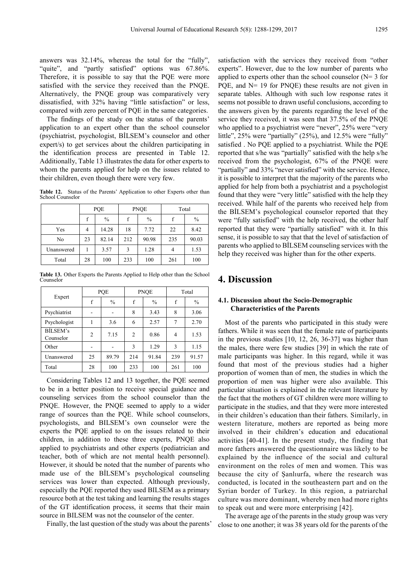answers was 32.14%, whereas the total for the "fully", "quite", and "partly satisfied" options was 67.86%. Therefore, it is possible to say that the PQE were more satisfied with the service they received than the PNQE. Alternatively, the PNQE group was comparatively very dissatisfied, with 32% having "little satisfaction" or less, compared with zero percent of PQE in the same categories.

The findings of the study on the status of the parents' application to an expert other than the school counselor (psychiatrist, psychologist, BİLSEM's counselor and other expert/s) to get services about the children participating in the identification process are presented in Table 12. Additionally, Table 13 illustrates the data for other experts to whom the parents applied for help on the issues related to their children, even though there were very few.

**Table 12.** Status of the Parents' Application to other Experts other than School Counselor

|            | PQE         |       |     | <b>PNQE</b>   | Total |               |  |
|------------|-------------|-------|-----|---------------|-------|---------------|--|
|            | $\mathbf f$ | $\%$  | f   | $\frac{0}{0}$ | f     | $\frac{0}{0}$ |  |
| Yes        | 4           | 14.28 | 18  | 7.72          | 22    | 8.42          |  |
| No         | 23          | 82.14 | 212 | 90.98         | 235   | 90.03         |  |
| Unanswered |             | 3.57  | 3   | 1.28          |       | 1.53          |  |
| Total      | 28          | 100   | 233 | 100           | 261   | 100           |  |

**Table 13.** Other Experts the Parents Applied to Help other than the School Counselor

|                       |                | POE           |                | <b>PNOE</b>   | Total |               |
|-----------------------|----------------|---------------|----------------|---------------|-------|---------------|
| Expert                | f              | $\frac{0}{0}$ | f              | $\frac{0}{0}$ | f     | $\frac{0}{0}$ |
| Psychiatrist          |                |               | 8              | 3.43          | 8     | 3.06          |
| Psychologist          |                | 3.6           | 6              | 2.57          | 7     | 2.70          |
| BİLSEM's<br>Counselor | $\overline{2}$ | 7.15          | $\overline{c}$ | 0.86          | 4     | 1.53          |
| Other                 |                |               | 3              | 1.29          | 3     | 1.15          |
| Unanswered            | 25             | 89.79         | 214            | 91.84         | 239   | 91.57         |
| Total                 | 28             | 100           | 233            | 100           | 261   | 100           |

Considering Tables 12 and 13 together, the PQE seemed to be in a better position to receive special guidance and counseling services from the school counselor than the PNQE. However, the PNQE seemed to apply to a wider range of sources than the PQE. While school counselors, psychologists, and BILSEM's own counselor were the experts the PQE applied to on the issues related to their children, in addition to these three experts, PNQE also applied to psychiatrists and other experts (pediatrician and teacher, both of which are not mental health personnel). However, it should be noted that the number of parents who made use of the BİLSEM's psychological counseling services was lower than expected. Although previously, especially the PQE reported they used BILSEM as a primary resource both at the test taking and learning the results stages of the GT identification process, it seems that their main source in BILSEM was not the counselor of the center.

Finally, the last question of the study was about the parents'

satisfaction with the services they received from "other experts". However, due to the low number of parents who applied to experts other than the school counselor  $(N= 3$  for PQE, and N= 19 for PNQE) these results are not given in separate tables. Although with such low response rates it seems not possible to drawn useful conclusions, according to the answers given by the parents regarding the level of the service they received, it was seen that 37.5% of the PNQE who applied to a psychiatrist were "never", 25% were "very little", 25% were "partially" (25%), and 12.5% were "fully" satisfied . No PQE applied to a psychiatrist. While the PQE reported that s/he was "partially" satisfied with the help s/he received from the psychologist, 67% of the PNQE were "partially" and 33% "never satisfied" with the service. Hence, it is possible to interpret that the majority of the parents who applied for help from both a psychiatrist and a psychologist found that they were "very little" satisfied with the help they received. While half of the parents who received help from the BİLSEM's psychological counselor reported that they were "fully satisfied" with the help received, the other half reported that they were "partially satisfied" with it. In this sense, it is possible to say that that the level of satisfaction of parents who applied to BİLSEM counseling services with the help they received was higher than for the other experts.

# **4. Discussion**

## **4.1. Discussion about the Socio-Demographic Characteristics of the Parents**

Most of the parents who participated in this study were fathers. While it was seen that the female rate of participants in the previous studies [10, 12, 26, 36-37] was higher than the males, there were few studies [39] in which the rate of male participants was higher. In this regard, while it was found that most of the previous studies had a higher proportion of women than of men, the studies in which the proportion of men was higher were also available. This particular situation is explained in the relevant literature by the fact that the mothers of GT children were more willing to participate in the studies, and that they were more interested in their children's education than their fathers. Similarly, in western literature, mothers are reported as being more involved in their children's education and educational activities [40-41]. In the present study, the finding that more fathers answered the questionnaire was likely to be explained by the influence of the social and cultural environment on the roles of men and women. This was because the city of Şanlıurfa, where the research was conducted, is located in the southeastern part and on the Syrian border of Turkey. In this region, a patriarchal culture was more dominant, whereby men had more rights to speak out and were more enterprising [42].

The average age of the parents in the study group was very close to one another; it was 38 years old for the parents of the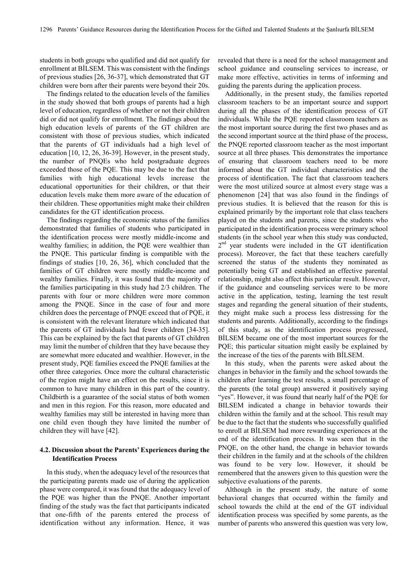students in both groups who qualified and did not qualify for enrollment at BİLSEM. This was consistent with the findings of previous studies [26, 36-37], which demonstrated that GT children were born after their parents were beyond their 20s.

The findings related to the education levels of the families in the study showed that both groups of parents had a high level of education, regardless of whether or not their children did or did not qualify for enrollment. The findings about the high education levels of parents of the GT children are consistent with those of previous studies, which indicated that the parents of GT individuals had a high level of education [10, 12, 26, 36-39]. However, in the present study, the number of PNQEs who held postgraduate degrees exceeded those of the PQE. This may be due to the fact that families with high educational levels increase the educational opportunities for their children, or that their education levels make them more aware of the education of their children. These opportunities might make their children candidates for the GT identification process.

The findings regarding the economic status of the families demonstrated that families of students who participated in the identification process were mostly middle-income and wealthy families; in addition, the PQE were wealthier than the PNQE. This particular finding is compatible with the findings of studies [10, 26, 36], which concluded that the families of GT children were mostly middle-income and wealthy families. Finally, it was found that the majority of the families participating in this study had 2/3 children. The parents with four or more children were more common among the PNQE. Since in the case of four and more children does the percentage of PNQE exceed that of PQE, it is consistent with the relevant literature which indicated that the parents of GT individuals had fewer children [34-35]. This can be explained by the fact that parents of GT children may limit the number of children that they have because they are somewhat more educated and wealthier. However, in the present study, PQE families exceed the PNQE families at the other three categories. Once more the cultural characteristic of the region might have an effect on the results, since it is common to have many children in this part of the country. Childbirth is a guarantee of the social status of both women and men in this region. For this reason, more educated and wealthy families may still be interested in having more than one child even though they have limited the number of children they will have [42].

## **4.2. Discussion about the Parents' Experiences during the Identification Process**

In this study, when the adequacy level of the resources that the participating parents made use of during the application phase were compared, it was found that the adequacy level of the PQE was higher than the PNQE. Another important finding of the study was the fact that participants indicated that one-fifth of the parents entered the process of identification without any information. Hence, it was

revealed that there is a need for the school management and school guidance and counseling services to increase, or make more effective, activities in terms of informing and guiding the parents during the application process.

Additionally, in the present study, the families reported classroom teachers to be an important source and support during all the phases of the identification process of GT individuals. While the PQE reported classroom teachers as the most important source during the first two phases and as the second important source at the third phase of the process, the PNQE reported classroom teacher as the most important source at all three phases. This demonstrates the importance of ensuring that classroom teachers need to be more informed about the GT individual characteristics and the process of identification. The fact that classroom teachers were the most utilized source at almost every stage was a phenomenon [24] that was also found in the findings of previous studies. It is believed that the reason for this is explained primarily by the important role that class teachers played on the students and parents, since the students who participated in the identification process were primary school students (in the school year when this study was conducted,  $2<sup>nd</sup>$  year students were included in the GT identification process). Moreover, the fact that these teachers carefully screened the status of the students they nominated as potentially being GT and established an effective parental relationship, might also affect this particular result. However, if the guidance and counseling services were to be more active in the application, testing, learning the test result stages and regarding the general situation of their students, they might make such a process less distressing for the students and parents. Additionally, according to the findings of this study, as the identification process progressed, BİLSEM became one of the most important sources for the PQE; this particular situation might easily be explained by the increase of the ties of the parents with BİLSEM.

In this study, when the parents were asked about the changes in behavior in the family and the school towards the children after learning the test results, a small percentage of the parents (the total group) answered it positively saying "yes". However, it was found that nearly half of the PQE for BILSEM indicated a change in behavior towards their children within the family and at the school. This result may be due to the fact that the students who successfully qualified to enroll at BİLSEM had more rewarding experiences at the end of the identification process. It was seen that in the PNQE, on the other hand, the change in behavior towards their children in the family and at the schools of the children was found to be very low. However, it should be remembered that the answers given to this question were the subjective evaluations of the parents.

Although in the present study, the nature of some behavioral changes that occurred within the family and school towards the child at the end of the GT individual identification process was specified by some parents, as the number of parents who answered this question was very low,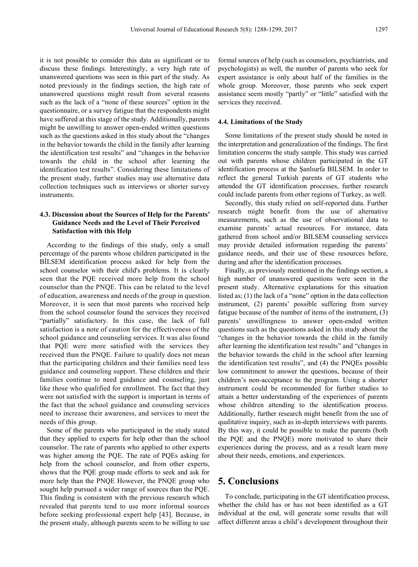it is not possible to consider this data as significant or to discuss these findings. Interestingly, a very high rate of unanswered questions was seen in this part of the study. As noted previously in the findings section, the high rate of unanswered questions might result from several reasons such as the lack of a "none of these sources" option in the questionnaire, or a survey fatigue that the respondents might have suffered at this stage of the study. Additionally, parents might be unwilling to answer open-ended written questions such as the questions asked in this study about the "changes in the behavior towards the child in the family after learning the identification test results" and "changes in the behavior towards the child in the school after learning the identification test results". Considering these limitations of the present study, further studies may use alternative data collection techniques such as interviews or shorter survey instruments.

## **4.3. Discussion about the Sources of Help for the Parents' Guidance Needs and the Level of Their Perceived Satisfaction with this Help**

According to the findings of this study, only a small percentage of the parents whose children participated in the BİLSEM identification process asked for help from the school counselor with their child's problems. It is clearly seen that the PQE received more help from the school counselor than the PNQE. This can be related to the level of education, awareness and needs of the group in question. Moreover, it is seen that most parents who received help from the school counselor found the services they received "partially" satisfactory. In this case, the lack of full satisfaction is a note of caution for the effectiveness of the school guidance and counseling services. It was also found that PQE were more satisfied with the services they received than the PNQE. Failure to qualify does not mean that the participating children and their families need less guidance and counseling support. These children and their families continue to need guidance and counseling, just like those who qualified for enrollment. The fact that they were not satisfied with the support is important in terms of the fact that the school guidance and counseling services need to increase their awareness, and services to meet the needs of this group.

Some of the parents who participated in the study stated that they applied to experts for help other than the school counselor. The rate of parents who applied to other experts was higher among the PQE. The rate of PQEs asking for help from the school counselor, and from other experts, shows that the PQE group made efforts to seek and ask for more help than the PNQE However, the PNQE group who sought help pursued a wider range of sources than the PQE. This finding is consistent with the previous research which revealed that parents tend to use more informal sources before seeking professional expert help [43]. Because, in the present study, although parents seem to be willing to use

formal sources of help (such as counselors, psychiatrists, and psychologists) as well, the number of parents who seek for expert assistance is only about half of the families in the whole group. Moreover, those parents who seek expert assistance seem mostly "partly" or "little" satisfied with the services they received.

#### **4.4. Limitations of the Study**

Some limitations of the present study should be noted in the interpretation and generalization of the findings. The first limitation concerns the study sample. This study was carried out with parents whose children participated in the GT identification process at the Şanlıurfa BILSEM. In order to reflect the general Turkish parents of GT students who attended the GT identification processes, further research could include parents from other regions of Turkey, as well.

Secondly, this study relied on self-reported data. Further research might benefit from the use of alternative measurements, such as the use of observational data to examine parents' actual resources. For instance, data gathered from school and/or BILSEM counseling services may provide detailed information regarding the parents' guidance needs, and their use of these resources before, during and after the identification processes.

Finally, as previously mentioned in the findings section, a high number of unanswered questions were seen in the present study. Alternative explanations for this situation listed as; (1) the lack of a "none" option in the data collection instrument, (2) parents' possible suffering from survey fatigue because of the number of items of the instrument, (3) parents' unwillingness to answer open-ended written questions such as the questions asked in this study about the "changes in the behavior towards the child in the family after learning the identification test results" and "changes in the behavior towards the child in the school after learning the identification test results", and (4) the PNQEs possible low commitment to answer the questions, because of their children's non-acceptance to the program. Using a shorter instrument could be recommended for further studies to attain a better understanding of the experiences of parents whose children attending to the identification process. Additionally, further research might benefit from the use of qualitative inquiry, such as in-depth interviews with parents. By this way, it could be possible to make the parents (both the PQE and the PNQE) more motivated to share their experiences during the process, and as a result learn more about their needs, emotions, and experiences.

# **5. Conclusions**

To conclude, participating in the GT identification process, whether the child has or has not been identified as a GT individual at the end, will generate some results that will affect different areas a child's development throughout their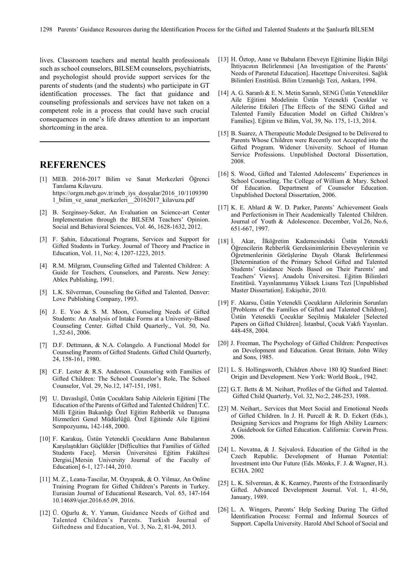lives. Classroom teachers and mental health professionals such as school counselors, BILSEM counselors, psychiatrists, and psychologist should provide support services for the parents of students (and the students) who participate in GT identification processes. The fact that guidance and counseling professionals and services have not taken on a competent role in a process that could have such crucial consequences in one's life draws attention to an important shortcoming in the area.

# **REFERENCES**

- [1] MEB. 2016-2017 Bilim ve Sanat Merkezleri Öğrenci Tanılama Kılavuzu. https://orgm.meb.gov.tr/meb\_iys\_dosyalar/2016\_10/1109390 1\_bilim\_ve\_sanat\_merkezleri\_\_20162017\_kilavuzu.pdf
- [2] B. Sezginsoy-Seker, An Evaluation on Science-art Center Implementation through the BILSEM Teachers' Opinion. Social and Behavioral Sciences, Vol. 46, 1628-1632, 2012.
- [3] F. Şahin, Educational Programs, Services and Support for Gifted Students in Turkey. Journal of Theory and Practice in Education, Vol. 11, No: 4, 1207-1223, 2015.
- [4] R.M. Milgram, Counseling Gifted and Talented Children: A Guide for Teachers, Counselors, and Parents. New Jersey: Ablex Publishing, 1991.
- [5] L.K. Silverman, Counseling the Gifted and Talented. Denver: Love Publishing Company, 1993.
- [6] J. E. Yoo & S. M. Moon, Counseling Needs of Gifted Students: An Analysis of Intake Forms at a University-Based Counseling Center. Gifted Child Quarterly., Vol. 50, No. 1,.52-61, 2006.
- [7] D.F. Dettmann, & N.A. Colangelo. A Functional Model for Counseling Parents of Gifted Students. Gifted Child Quarterly, 24, 158-161, 1980.
- [8] C.F. Lester & R.S. Anderson. Counseling with Families of Gifted Children: The School Counselor's Role, The School Counselor, Vol. 29, No.12, 147-151, 1981.
- [9] U. Davaslıgil, Üstün Çocuklara Sahip Ailelerin Eğitimi [The Education of the Parents of Gifted and Talented Children] T.C. Milli Eğitim Bakanlığı Özel Eğitim Rehberlik ve Danışma Hizmetleri Genel Müdürlüğü. Özel Eğitimde Aile Eğitimi Sempozyumu, 142-148, 2000.
- [10] F. Karakuş, Üstün Yetenekli Çocukların Anne Babalarının Karşılaştıkları Güçlükler [Difficulties that Families of Gifted Students Face]. Mersin Üniversitesi Eğitim Fakültesi Dergisi,[Mersin University Journal of the Faculty of Education] 6-1, 127-144, 2010.
- [11] M. Z., Leana-Tascilar, M. Ozyaprak, & O. Yilmaz, An Online Training Program for Gifted Children's Parents in Turkey. Eurasian Journal of Educational Research, Vol. 65, 147-164 10.14689/ejer.2016.65.09, 2016.
- [12] Ü. Oğurlu &, Y. Yaman, Guidance Needs of Gifted and Talented Children's Parents. Turkish Journal of Giftedness and Education, Vol. 3, No. 2, 81-94, 2013.
- [13] H. Öztop, Anne ve Babaların Ebeveyn Eğitimine İlişkin Bilgi İhtiyacının Belirlenmesi [An Investigation of the Parents' Needs of Parenetal Education]. Hacettepe Üniversitesi. Sağlık Bilimleri Enstitüsü. Bilim Uzmanlığı Tezi, Ankara, 1994.
- [14] A. G. Saranlı & E. N. Metin Saranlı, SENG Üstün Yetenekliler Aile Eğitimi Modelinin Üstün Yetenekli Çocuklar ve Ailelerine Etkileri [The Effects of the SENG Gifted and Talented Family Education Model on Gifted Children's Families]. Eğitim ve Bilim, Vol, 39, No. 175, 1-13, 2014.
- [15] B. Suarez, A Therapeutic Module Designed to be Delivered to Parents Whose Children were Recently not Accepted into the Gifted Program. Widener University. School of Human Service Professions. Unpublished Doctoral Dissertation, 2008.
- [16] S. Wood, Gifted and Talented Adolescents' Experiences in School Counseling. The College of William & Mary. School Of Education. Department of Counselor Education. Unpublished Doctoral Dissertation, 2006.
- [17] K. E. Ablard & W. D. Parker, Parents' Achievement Goals and Perfectionism in Their Academically Talented Children. Journal of Youth & Adolescence. December, Vol.26, No.6, 651-667, 1997.
- [18] İ. Akar, İlköğretim Kademesindeki Üstün Yetenekli Öğrencilerin Rehberlik Gereksinimlerinin Ebeveynlerinin ve Öğretmenlerinin Görüşlerine Dayalı Olarak Belirlenmesi [Determination of the Primary School Gifted and Talented Students' Guidance Needs Based on Their Parents' and Teachers' Views]. Anadolu Üniversitesi. Eğitim Bilimleri Enstitüsü. Yayınlanmamış Yüksek Lisans Tezi [Unpublished Master Dissertation]. Eskişehir, 2010.
- [19] F. Akarsu, Üstün Yetenekli Çocukların Ailelerinin Sorunları [Problems of the Families of Gifted and Talented Children]. Üstün Yetenekli Çocuklar Seçilmiş Makaleler [Selected Papers on Gifted Children]. İstanbul, Çocuk Vakfı Yayınları. 448-458, 2004.
- [20] J. Freeman, The Psychology of Gifted Children: Perspectives on Development and Education. Great Britain. John Wiley and Sons, 1985.
- [21] L. S. Hollingsworth, Children Above 180 IQ Stanford Binet: Origin and Development. New York: World Book., 1942.
- [22] G.T. Betts & M. Neihart, Profiles of the Gifted and Talented. Gifted Child Quarterly, Vol. 32, No:2, 248-253, 1988.
- [23] M. Neihart,. Services that Meet Social and Emotional Needs of Gifted Children. In J. H. Purcell & R. D. Eckert (Eds.), Designing Services and Programs for High Ability Learners: A Guidebook for Gifted Education. California: Corwin Press. 2006.
- [24] L. Novatna, & J. Sejvalová. Education of the Gifted in the Czech Republic. Development of Human Potential: Investment into Our Future (Eds. Mönks, F. J. & Wagner, H.). ECHA. 2002
- [25] L. K. Silverman, & K. Kearney, Parents of the Extraordinarily Gifted. Advanced Development Journal. Vol. 1, 41-56, January, 1989.
- [26] L. A. Wingers, Parents' Help Seeking During The Gifted İdentification Process: Formal and Informal Sources of Support. Capella University. Harold Abel School of Social and